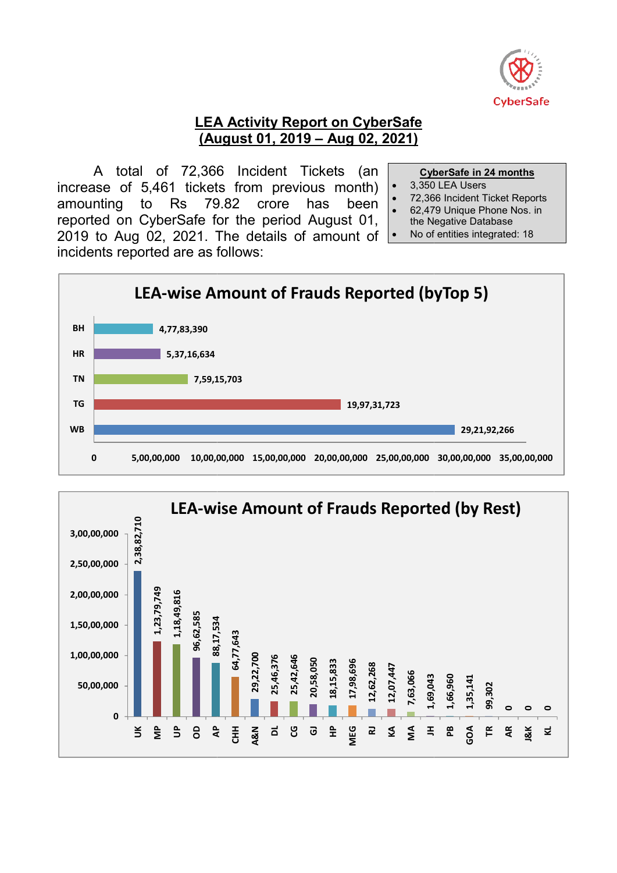

#### LEA Activity Report on CyberSafe (August 01, 2019 - Aug 02, 2021)

A total of 72,366 72,366 Incident Tickets (an increase of 5,461 tickets from previous month) amounting to Rs reported on CyberSafe for the period August 01, 2019 to Aug 02, 2021. The details of amount of incidents reported are as follows: 79.82 crore has been

- CyberSafe in 24
- 3,350 350 LEA Users
- 72,366 366 Incident Ticket Reports
- 62,479 479 Unique Phone Nos. in
- the Negative the Negative Database
- No of entities integrated: 1 No of entities integrated: 18



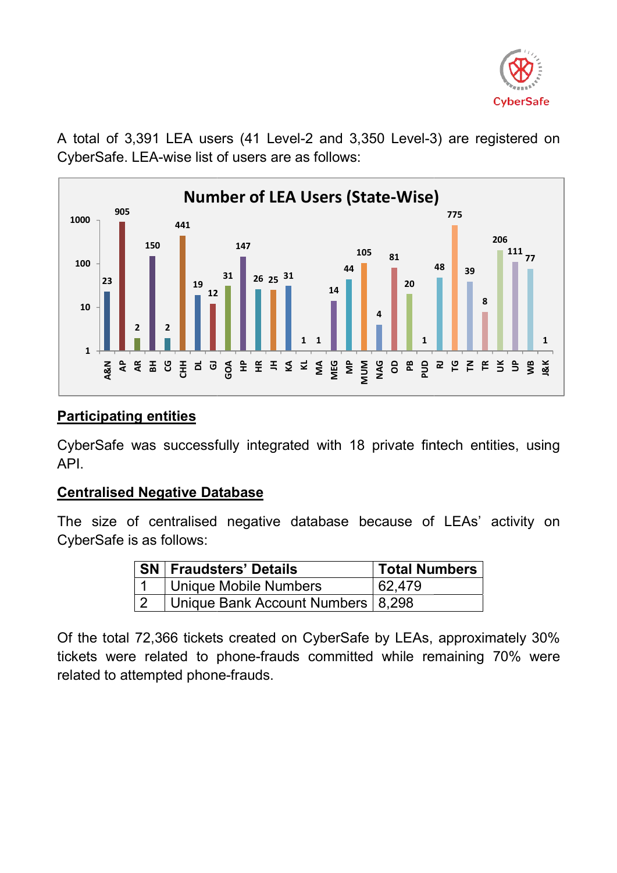

A total of 3,391 LEA users (41 Level-2 and 3,350 Level-3) are registered on CyberSafe. LEA-wise list of users are as follows:



# Participating entities

CyberSafe was successfully integrated with 18 private fintech entities, using API.

### Centralised Negative Database Database

The size of centralised negative database because of LEAs' activity on CyberSafe is as follows:

|  | ⊦ SN   Fraudsters' Details          | <b>Total Numbers</b> |
|--|-------------------------------------|----------------------|
|  | Unique Mobile Numbers               | 62.479               |
|  | Unique Bank Account Numbers   8,298 |                      |

Of the total 72,366 tickets created on CyberSafe by LEAs, approximately 30% tickets were related to phone-frauds committed while remaining 70% were related to attempted phone-frauds.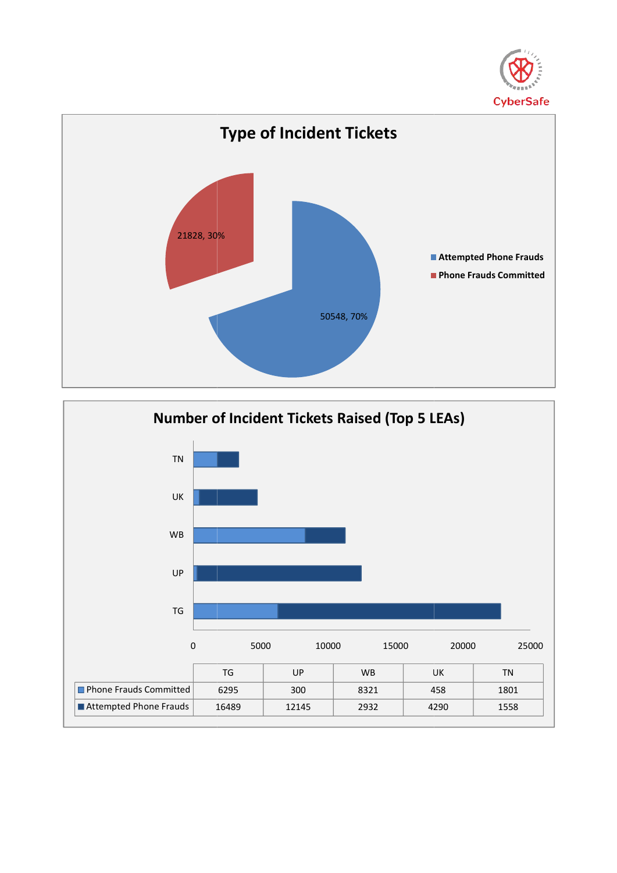



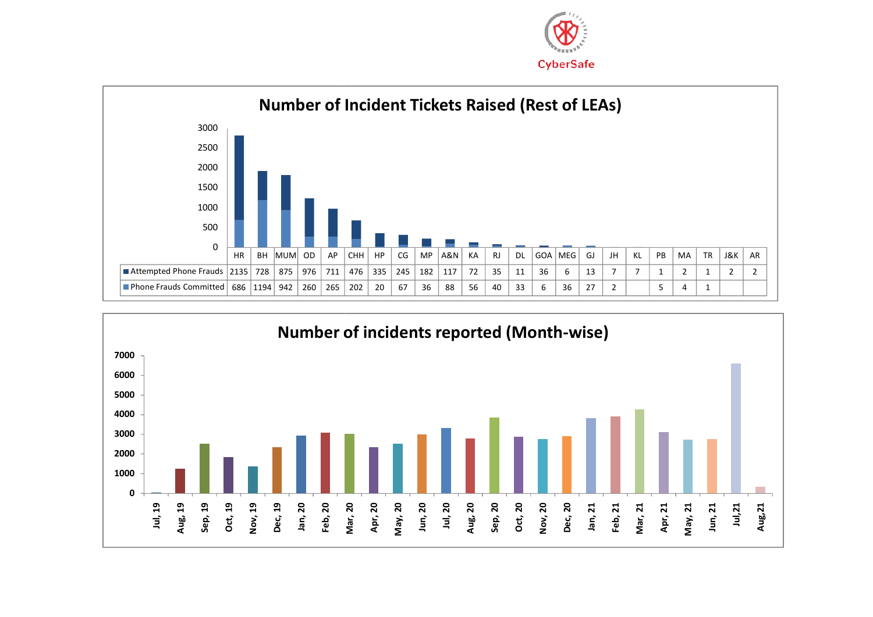



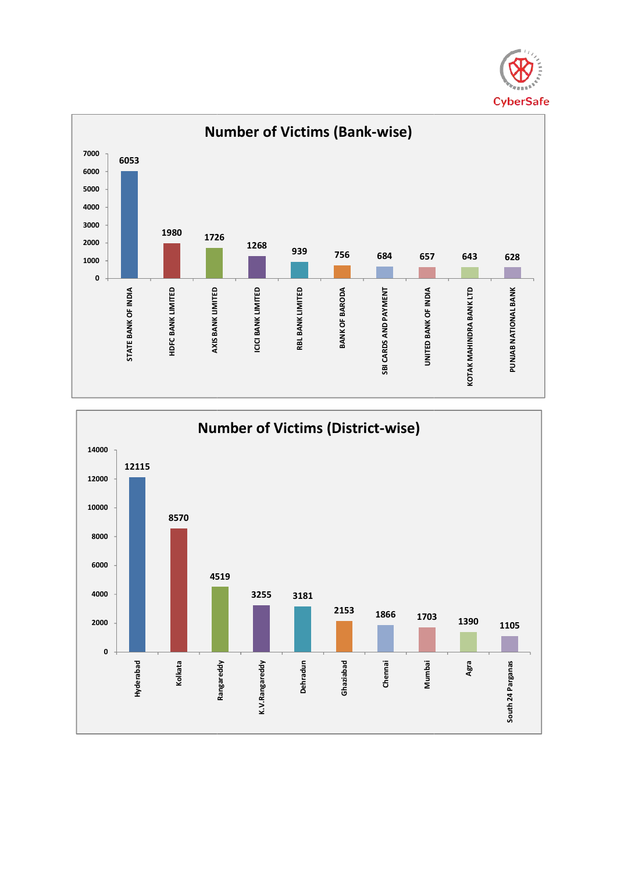